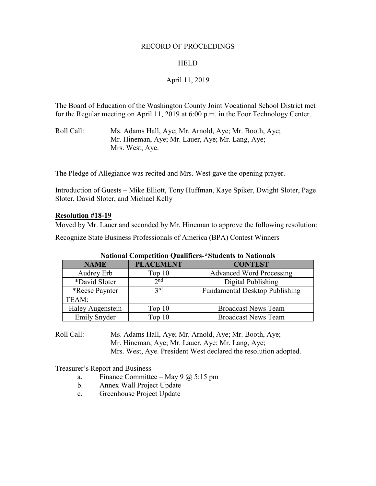#### RECORD OF PROCEEDINGS

### HELD

## April 11, 2019

The Board of Education of the Washington County Joint Vocational School District met for the Regular meeting on April 11, 2019 at 6:00 p.m. in the Foor Technology Center.

Roll Call: Ms. Adams Hall, Aye; Mr. Arnold, Aye; Mr. Booth, Aye; Mr. Hineman, Aye; Mr. Lauer, Aye; Mr. Lang, Aye; Mrs. West, Aye.

The Pledge of Allegiance was recited and Mrs. West gave the opening prayer.

Introduction of Guests – Mike Elliott, Tony Huffman, Kaye Spiker, Dwight Sloter, Page Sloter, David Sloter, and Michael Kelly

#### **Resolution #18-19**

Moved by Mr. Lauer and seconded by Mr. Hineman to approve the following resolution:

Recognize State Business Professionals of America (BPA) Contest Winners

| Tradular Computuum Quamitris- Stuutnus to Frationals |                  |                                       |  |  |
|------------------------------------------------------|------------------|---------------------------------------|--|--|
| <b>NAME</b>                                          | <b>PLACEMENT</b> | <b>CONTEST</b>                        |  |  |
| Audrey Erb                                           | Top $10$         | <b>Advanced Word Processing</b>       |  |  |
| *David Sloter                                        | $2^{nd}$         | Digital Publishing                    |  |  |
| <i>*</i> Reese Paynter                               | 2rd              | <b>Fundamental Desktop Publishing</b> |  |  |
| TEAM:                                                |                  |                                       |  |  |
| Haley Augenstein                                     | Top $10$         | <b>Broadcast News Team</b>            |  |  |
| <b>Emily Snyder</b>                                  | Top $10$         | <b>Broadcast News Team</b>            |  |  |

|  |  |  | <b>National Competition Qualifiers-*Students to Nationals</b> |  |  |  |
|--|--|--|---------------------------------------------------------------|--|--|--|
|--|--|--|---------------------------------------------------------------|--|--|--|

Roll Call: Ms. Adams Hall, Aye; Mr. Arnold, Aye; Mr. Booth, Aye; Mr. Hineman, Aye; Mr. Lauer, Aye; Mr. Lang, Aye; Mrs. West, Aye. President West declared the resolution adopted.

Treasurer's Report and Business

- a. Finance Committee May 9  $\omega$  5:15 pm
- b. Annex Wall Project Update
- c. Greenhouse Project Update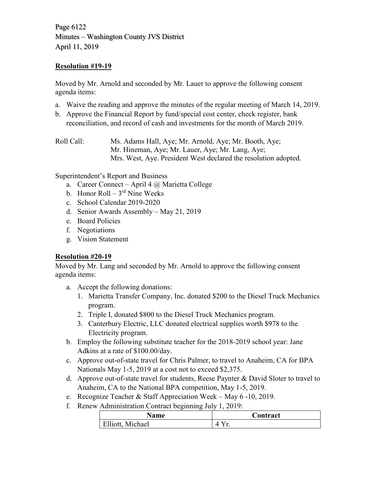Page 6122 Minutes – Washington County JVS District April 11, 2019

# **Resolution #19-19**

Moved by Mr. Arnold and seconded by Mr. Lauer to approve the following consent agenda items:

- a. Waive the reading and approve the minutes of the regular meeting of March 14, 2019.
- b. Approve the Financial Report by fund/special cost center, check register, bank reconciliation, and record of cash and investments for the month of March 2019.

Roll Call: Ms. Adams Hall, Aye; Mr. Arnold, Aye; Mr. Booth, Aye; Mr. Hineman, Aye; Mr. Lauer, Aye; Mr. Lang, Aye; Mrs. West, Aye. President West declared the resolution adopted.

Superintendent's Report and Business

- a. Career Connect April 4  $\omega$  Marietta College
- b. Honor Roll  $3<sup>rd</sup>$  Nine Weeks
- c. School Calendar 2019-2020
- d. Senior Awards Assembly May 21, 2019
- e. Board Policies
- f. Negotiations
- g. Vision Statement

# **Resolution #20-19**

Moved by Mr. Lang and seconded by Mr. Arnold to approve the following consent agenda items:

- a. Accept the following donations:
	- 1. Marietta Transfer Company, Inc. donated \$200 to the Diesel Truck Mechanics program.
	- 2. Triple I, donated \$800 to the Diesel Truck Mechanics program.
	- 3. Canterbury Electric, LLC donated electrical supplies worth \$978 to the Electricity program.
- b. Employ the following substitute teacher for the 2018-2019 school year: Jane Adkins at a rate of \$100.00/day.
- c. Approve out-of-state travel for Chris Palmer, to travel to Anaheim, CA for BPA Nationals May 1-5, 2019 at a cost not to exceed \$2,375.
- d. Approve out-of-state travel for students, Reese Paynter & David Sloter to travel to Anaheim, CA to the National BPA competition, May 1-5, 2019.
- e. Recognize Teacher & Staff Appreciation Week May 6 -10, 2019.
- f. Renew Administration Contract beginning July 1, 2019:

| Name             | Contract |
|------------------|----------|
| Elliott, Michael |          |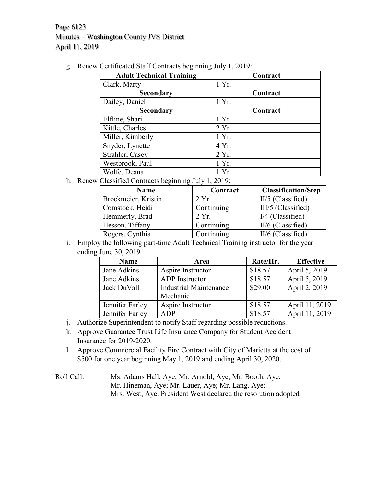Page 6123 Minutes – Washington County JVS District April 11, 2019

g. Renew Certificated Staff Contracts beginning July 1, 2019:

| O<br>O<br><b>Adult Technical Training</b> | Contract |
|-------------------------------------------|----------|
| Clark, Marty                              | 1 Yr.    |
| <b>Secondary</b>                          | Contract |
| Dailey, Daniel                            | 1 Yr.    |
| <b>Secondary</b>                          | Contract |
| Elfline, Shari                            | 1 Yr.    |
| Kittle, Charles                           | 2 Yr.    |
| Miller, Kimberly                          | 1 Yr.    |
| Snyder, Lynette                           | 4 Yr.    |
| Strahler, Casey                           | 2 Yr.    |
| Westbrook, Paul                           | 1 Yr.    |
| Wolfe, Deana                              | 1 Yr.    |

h. Renew Classified Contracts beginning July 1, 2019:

| <b>Name</b>         | Contract   | <b>Classification/Step</b> |
|---------------------|------------|----------------------------|
| Brockmeier, Kristin | 2 Yr.      | II/5 (Classified)          |
| Comstock, Heidi     | Continuing | III/5 (Classified)         |
| Hemmerly, Brad      | 2 Yr.      | $I/4$ (Classified)         |
| Hesson, Tiffany     | Continuing | II/6 (Classified)          |
| Rogers, Cynthia     | Continuing | II/6 (Classified)          |

i. Employ the following part-time Adult Technical Training instructor for the year ending June 30, 2019

| <b>Name</b>     | Area                          | Rate/Hr. | <b>Effective</b> |
|-----------------|-------------------------------|----------|------------------|
| Jane Adkins     | Aspire Instructor             | \$18.57  | April 5, 2019    |
| Jane Adkins     | ADP Instructor                | \$18.57  | April 5, 2019    |
| Jack DuVall     | <b>Industrial Maintenance</b> | \$29.00  | April 2, 2019    |
|                 | Mechanic                      |          |                  |
| Jennifer Farley | Aspire Instructor             | \$18.57  | April 11, 2019   |
| Jennifer Farley | <b>ADP</b>                    | \$18.57  | April 11, 2019   |

- j. Authorize Superintendent to notify Staff regarding possible reductions.
- k. Approve Guarantee Trust Life Insurance Company for Student Accident Insurance for 2019-2020.
- l. Approve Commercial Facility Fire Contract with City of Marietta at the cost of \$500 for one year beginning May 1, 2019 and ending April 30, 2020.

Roll Call: Ms. Adams Hall, Aye; Mr. Arnold, Aye; Mr. Booth, Aye; Mr. Hineman, Aye; Mr. Lauer, Aye; Mr. Lang, Aye; Mrs. West, Aye. President West declared the resolution adopted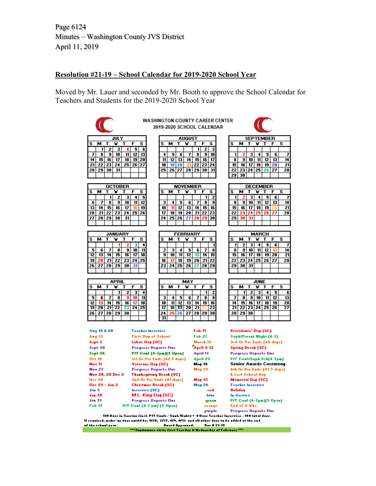Page 6124 Minutes – Washington County JVS District April 11, 2019

#### **Resolution #21-19 – School Calendar for 2019-2020 School Year**

Moved by Mr. Lauer and seconded by Mr. Booth to approve the School Calendar for Teachers and Students for the 2019-2020 School Year



If required, make-up days unuld be: 1/20, 2/17, 4/9, 4/13 and all ather days to be added at the end of the rehaal year. **Buard Approvad: Bar # 21-19** rite first Tuarday & Wadnarday of Fabruary "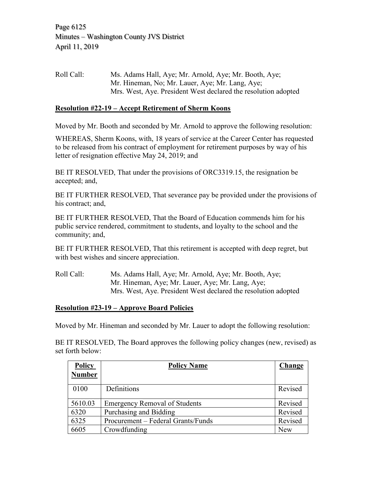Roll Call: Ms. Adams Hall, Aye; Mr. Arnold, Aye; Mr. Booth, Aye; Mr. Hineman, No; Mr. Lauer, Aye; Mr. Lang, Aye; Mrs. West, Aye. President West declared the resolution adopted

# **Resolution #22-19 – Accept Retirement of Sherm Koons**

Moved by Mr. Booth and seconded by Mr. Arnold to approve the following resolution:

WHEREAS, Sherm Koons, with, 18 years of service at the Career Center has requested to be released from his contract of employment for retirement purposes by way of his letter of resignation effective May 24, 2019; and

BE IT RESOLVED, That under the provisions of ORC3319.15, the resignation be accepted; and,

BE IT FURTHER RESOLVED, That severance pay be provided under the provisions of his contract; and,

BE IT FURTHER RESOLVED, That the Board of Education commends him for his public service rendered, commitment to students, and loyalty to the school and the community; and,

BE IT FURTHER RESOLVED, That this retirement is accepted with deep regret, but with best wishes and sincere appreciation.

Roll Call: Ms. Adams Hall, Aye; Mr. Arnold, Aye; Mr. Booth, Aye; Mr. Hineman, Aye; Mr. Lauer, Aye; Mr. Lang, Aye; Mrs. West, Aye. President West declared the resolution adopted

### **Resolution #23-19 – Approve Board Policies**

Moved by Mr. Hineman and seconded by Mr. Lauer to adopt the following resolution:

BE IT RESOLVED, The Board approves the following policy changes (new, revised) as set forth below:

| <b>Policy</b> | <b>Policy Name</b>                   | Change     |
|---------------|--------------------------------------|------------|
| <b>Number</b> |                                      |            |
| 0100          | Definitions                          | Revised    |
| 5610.03       | <b>Emergency Removal of Students</b> | Revised    |
| 6320          | Purchasing and Bidding               | Revised    |
| 6325          | Procurement – Federal Grants/Funds   | Revised    |
| 6605          | Crowdfunding                         | <b>New</b> |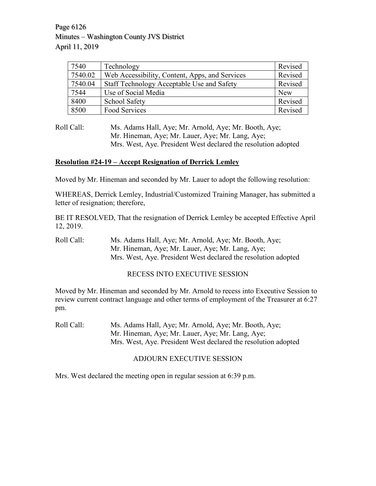Page 6126 Minutes – Washington County JVS District April 11, 2019

| 7540    | Technology                                     | Revised |
|---------|------------------------------------------------|---------|
| 7540.02 | Web Accessibility, Content, Apps, and Services | Revised |
| 7540.04 | Staff Technology Acceptable Use and Safety     | Revised |
| 7544    | Use of Social Media                            | New     |
| 8400    | School Safety                                  | Revised |
| 8500    | Food Services                                  | Revised |

Roll Call: Ms. Adams Hall, Aye; Mr. Arnold, Aye; Mr. Booth, Aye; Mr. Hineman, Aye; Mr. Lauer, Aye; Mr. Lang, Aye; Mrs. West, Aye. President West declared the resolution adopted

### **Resolution #24-19 – Accept Resignation of Derrick Lemley**

Moved by Mr. Hineman and seconded by Mr. Lauer to adopt the following resolution:

WHEREAS, Derrick Lemley, Industrial/Customized Training Manager, has submitted a letter of resignation; therefore,

BE IT RESOLVED, That the resignation of Derrick Lemley be accepted Effective April 12, 2019.

Roll Call: Ms. Adams Hall, Aye; Mr. Arnold, Aye; Mr. Booth, Aye; Mr. Hineman, Aye; Mr. Lauer, Aye; Mr. Lang, Aye; Mrs. West, Aye. President West declared the resolution adopted

### RECESS INTO EXECUTIVE SESSION

Moved by Mr. Hineman and seconded by Mr. Arnold to recess into Executive Session to review current contract language and other terms of employment of the Treasurer at 6:27 pm.

Roll Call: Ms. Adams Hall, Aye; Mr. Arnold, Aye; Mr. Booth, Aye; Mr. Hineman, Aye; Mr. Lauer, Aye; Mr. Lang, Aye; Mrs. West, Aye. President West declared the resolution adopted

## ADJOURN EXECUTIVE SESSION

Mrs. West declared the meeting open in regular session at 6:39 p.m.